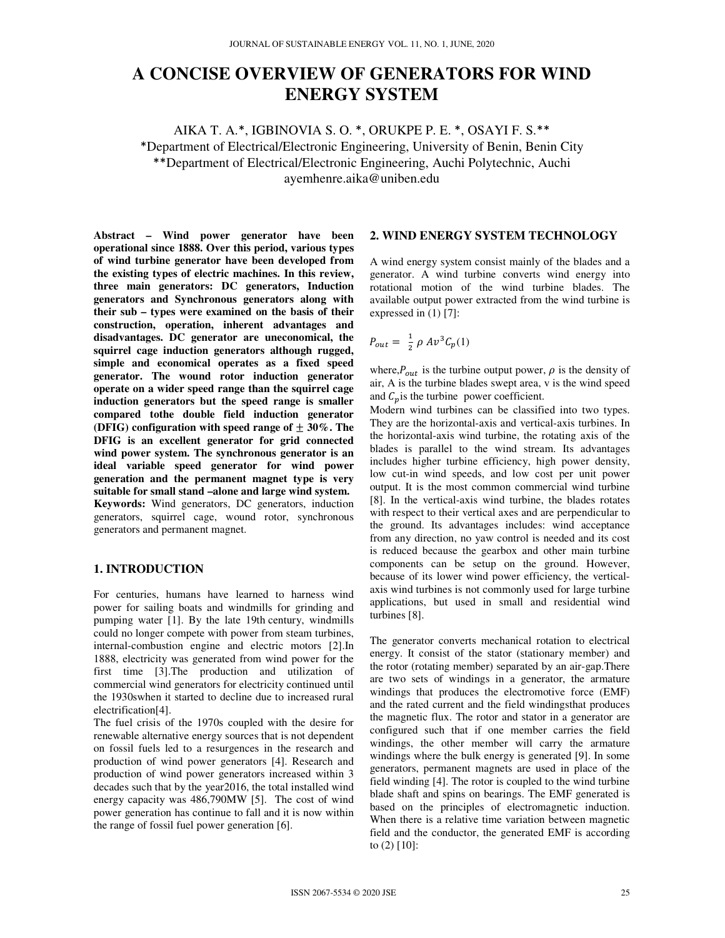# **A CONCISE OVERVIEW OF GENERATORS FOR WIND ENERGY SYSTEM**

AIKA T. A.\*, IGBINOVIA S. O. \*, ORUKPE P. E. \*, OSAYI F. S.\*\* \*Department of Electrical/Electronic Engineering, University of Benin, Benin City \*\*Department of Electrical/Electronic Engineering, Auchi Polytechnic, Auchi ayemhenre.aika@uniben.edu

**Abstract – Wind power generator have been operational since 1888. Over this period, various types of wind turbine generator have been developed from the existing types of electric machines. In this review, three main generators: DC generators, Induction generators and Synchronous generators along with their sub – types were examined on the basis of their construction, operation, inherent advantages and disadvantages. DC generator are uneconomical, the squirrel cage induction generators although rugged, simple and economical operates as a fixed speed generator. The wound rotor induction generator operate on a wider speed range than the squirrel cage induction generators but the speed range is smaller compared tothe double field induction generator (DFIG) configuration with speed range of**  $\pm 30\%$ **. The DFIG is an excellent generator for grid connected wind power system. The synchronous generator is an ideal variable speed generator for wind power generation and the permanent magnet type is very suitable for small stand –alone and large wind system. Keywords:** Wind generators, DC generators, induction generators, squirrel cage, wound rotor, synchronous generators and permanent magnet.

## **1. INTRODUCTION**

For centuries, humans have learned to harness wind power for sailing boats and windmills for grinding and pumping water [1]. By the late 19th century, windmills could no longer compete with power from steam turbines, internal-combustion engine and electric motors [2].In 1888, electricity was generated from wind power for the first time [3].The production and utilization of commercial wind generators for electricity continued until the 1930swhen it started to decline due to increased rural electrification[4].

The fuel crisis of the 1970s coupled with the desire for renewable alternative energy sources that is not dependent on fossil fuels led to a resurgences in the research and production of wind power generators [4]. Research and production of wind power generators increased within 3 decades such that by the year2016, the total installed wind energy capacity was 486,790MW [5]. The cost of wind power generation has continue to fall and it is now within the range of fossil fuel power generation [6].

## **2. WIND ENERGY SYSTEM TECHNOLOGY**

A wind energy system consist mainly of the blades and a generator. A wind turbine converts wind energy into rotational motion of the wind turbine blades. The available output power extracted from the wind turbine is expressed in (1) [7]:

$$
P_{out} = \frac{1}{2} \rho A v^3 C_p(1)
$$

where,  $P_{out}$  is the turbine output power,  $\rho$  is the density of air, A is the turbine blades swept area, v is the wind speed and  $C_n$  is the turbine power coefficient.

Modern wind turbines can be classified into two types. They are the horizontal-axis and vertical-axis turbines. In the horizontal-axis wind turbine, the rotating axis of the blades is parallel to the wind stream. Its advantages includes higher turbine efficiency, high power density, low cut-in wind speeds, and low cost per unit power output. It is the most common commercial wind turbine [8]. In the vertical-axis wind turbine, the blades rotates with respect to their vertical axes and are perpendicular to the ground. Its advantages includes: wind acceptance from any direction, no yaw control is needed and its cost is reduced because the gearbox and other main turbine components can be setup on the ground. However, because of its lower wind power efficiency, the verticalaxis wind turbines is not commonly used for large turbine applications, but used in small and residential wind turbines [8].

The generator converts mechanical rotation to electrical energy. It consist of the stator (stationary member) and the rotor (rotating member) separated by an air-gap.There are two sets of windings in a generator, the armature windings that produces the electromotive force (EMF) and the rated current and the field windingsthat produces the magnetic flux. The rotor and stator in a generator are configured such that if one member carries the field windings, the other member will carry the armature windings where the bulk energy is generated [9]. In some generators, permanent magnets are used in place of the field winding [4]. The rotor is coupled to the wind turbine blade shaft and spins on bearings. The EMF generated is based on the principles of electromagnetic induction. When there is a relative time variation between magnetic field and the conductor, the generated EMF is according to (2) [10]: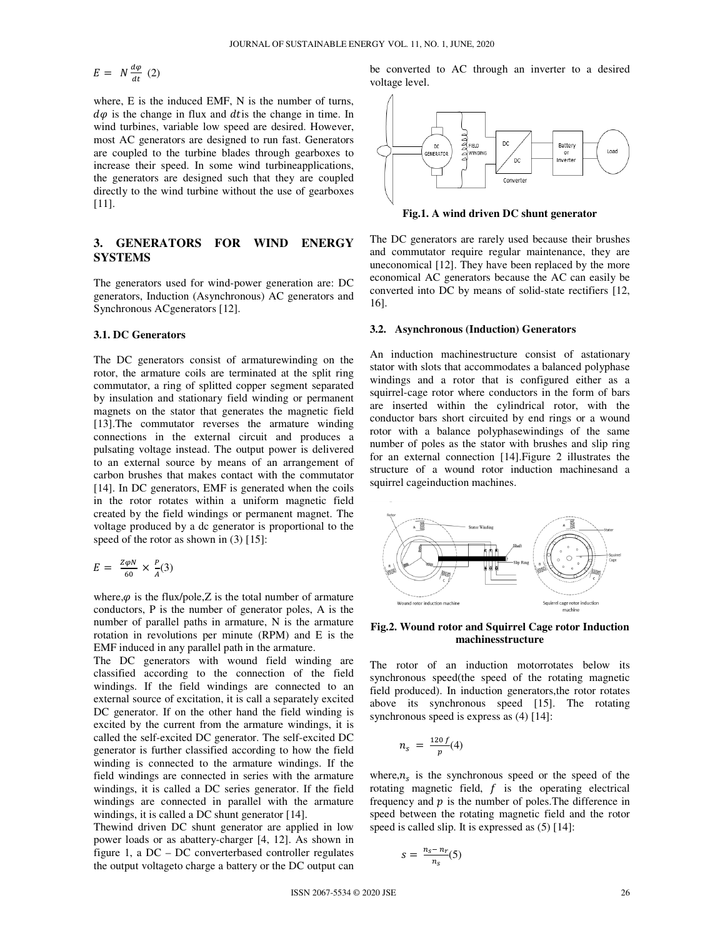$$
E = N \frac{d\varphi}{dt} (2)
$$

where, E is the induced EMF, N is the number of turns,  $d\varphi$  is the change in flux and dtis the change in time. In wind turbines, variable low speed are desired. However, most AC generators are designed to run fast. Generators are coupled to the turbine blades through gearboxes to increase their speed. In some wind turbineapplications, the generators are designed such that they are coupled directly to the wind turbine without the use of gearboxes [11].

## **3. GENERATORS FOR WIND ENERGY SYSTEMS**

The generators used for wind-power generation are: DC generators, Induction (Asynchronous) AC generators and Synchronous ACgenerators [12].

### **3.1. DC Generators**

The DC generators consist of armaturewinding on the rotor, the armature coils are terminated at the split ring commutator, a ring of splitted copper segment separated by insulation and stationary field winding or permanent magnets on the stator that generates the magnetic field [13].The commutator reverses the armature winding connections in the external circuit and produces a pulsating voltage instead. The output power is delivered to an external source by means of an arrangement of carbon brushes that makes contact with the commutator [14]. In DC generators, EMF is generated when the coils in the rotor rotates within a uniform magnetic field created by the field windings or permanent magnet. The voltage produced by a dc generator is proportional to the speed of the rotor as shown in  $(3)$  [15]:

$$
E = \frac{Z\varphi N}{60} \times \frac{P}{A}(3)
$$

where, $\varphi$  is the flux/pole, $Z$  is the total number of armature conductors, P is the number of generator poles, A is the number of parallel paths in armature, N is the armature rotation in revolutions per minute (RPM) and E is the EMF induced in any parallel path in the armature.

The DC generators with wound field winding are classified according to the connection of the field windings. If the field windings are connected to an external source of excitation, it is call a separately excited DC generator. If on the other hand the field winding is excited by the current from the armature windings, it is called the self-excited DC generator. The self-excited DC generator is further classified according to how the field winding is connected to the armature windings. If the field windings are connected in series with the armature windings, it is called a DC series generator. If the field windings are connected in parallel with the armature windings, it is called a DC shunt generator [14].

Thewind driven DC shunt generator are applied in low power loads or as abattery-charger [4, 12]. As shown in figure 1, a DC – DC converterbased controller regulates the output voltageto charge a battery or the DC output can

be converted to AC through an inverter to a desired voltage level.



**Fig.1. A wind driven DC shunt generator** 

The DC generators are rarely used because their brushes and commutator require regular maintenance, they are uneconomical [12]. They have been replaced by the more economical AC generators because the AC can easily be converted into DC by means of solid-state rectifiers [12, 16].

#### **3.2. Asynchronous (Induction) Generators**

An induction machinestructure consist of astationary stator with slots that accommodates a balanced polyphase windings and a rotor that is configured either as a squirrel-cage rotor where conductors in the form of bars are inserted within the cylindrical rotor, with the conductor bars short circuited by end rings or a wound rotor with a balance polyphasewindings of the same number of poles as the stator with brushes and slip ring for an external connection [14].Figure 2 illustrates the structure of a wound rotor induction machinesand a squirrel cageinduction machines.



**Fig.2. Wound rotor and Squirrel Cage rotor Induction machinesstructure** 

The rotor of an induction motorrotates below its synchronous speed(the speed of the rotating magnetic field produced). In induction generators,the rotor rotates above its synchronous speed [15]. The rotating synchronous speed is express as  $(4)$  [14]:

$$
n_s = \frac{120 f}{p}(4)
$$

where, $n<sub>s</sub>$  is the synchronous speed or the speed of the rotating magnetic field,  $f$  is the operating electrical frequency and  $p$  is the number of poles. The difference in speed between the rotating magnetic field and the rotor speed is called slip. It is expressed as (5) [14]:

$$
s = \frac{n_s - n_r}{n_s}(5)
$$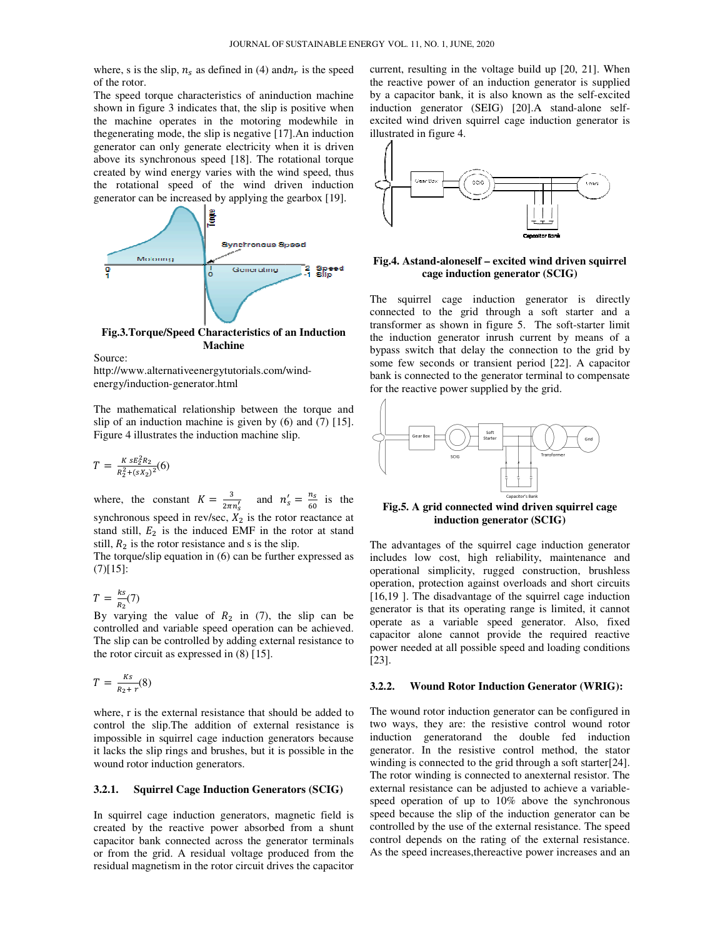where, s is the slip,  $n_s$  as defined in (4) and  $n_r$  is the speed of the rotor.

The speed torque characteristics of aninduction machine shown in figure 3 indicates that, the slip is positive when the machine operates in the motoring mode modewhile in thegenerating mode, the slip is negative [17 [17].An induction generator can only generate electricity when it is driven above its synchronous speed [18]. The rotational torque created by wind energy varies with the wind speed, thus the rotational speed of the wind driven induction generator can be increased by applying the gearbox [19]. reated by wind energy varie<br>he rotational speed of th<br>generator can be increased by



**Fig.3.Torque/Speed Characteristics of an Induction Machine** 

Source:

http://www.alternativeenergytutorials.com/wind http://www.alternativeenergytutorials.com/windenergy/induction-generator.html

The mathematical relationship between the torque and The mathematical relationship between the torque and slip of an induction machine is given by  $(6)$  and  $(7)$  [15]. Figure 4 illustrates the induction machine slip.

$$
T = \frac{K s E_2^2 R_2}{R_2^2 + (s X_2)^2} (6)
$$

where, the constant  $K = \frac{3}{2\pi n_s'}$  and  $n_s' = \frac{n_s}{60}$ synchronous speed in rev/sec,  $X_2$  is the rotor reactance at stand still,  $E_2$  is the induced EMF in the rotor at stand still,  $R_2$  is the rotor resistance and s is the slip.  $\frac{n_s}{60}$  is the is the rotor reactance<br> $\overline{F}$  in the rotor at star<br>is the slip.<br>be further expressed

The torque/slip equation in (6) can be further expressed as  $(7)[15]$ :

$$
T = \frac{ks}{R_2}(7)
$$

By varying the value of  $R_2$  in (7), the slip can be controlled and variable speed operation can be achieved. The slip can be controlled by adding external resistance to the rotor circuit as expressed in (8) [15].

$$
T = \frac{Ks}{R_2 + r}(8)
$$

where, r is the external resistance that should be added to control the slip.The addition of external resistance is impossible in squirrel cage induction generators it lacks the slip rings and brushes, but it is possible in the wound rotor induction generators. led by adding external resistance to<br>ressed in (8) [15].<br>l resistance that should be added to<br>addition of external resistance is<br>cage induction generators because

#### **3.2.1. Squirrel Cage Induction Generators enerators (SCIG)**

In squirrel cage induction generators, magnetic field is In squirrel cage induction generators, magnetic field is created by the reactive power absorbed from a shunt capacitor bank connected across the generator generator terminals or from the grid. A residual voltage produced from the residual magnetism in the rotor circuit drives the capacitor

the reactive power of an induction generator is supplied the reactive power of an induction generator is supplied<br>by a capacitor bank, it is also known as the self-excited induction generator (SEIG) [20].A stand-alone selfexcited wind driven squirrel cage induction generator is illustrated in figure 4. current, resulting in the voltage build up  $[20, 21]$ . When



#### **Fig.4. Astand-aloneself – excited wind wind driven squirrel cage induction generator (SCIG)**

The squirrel cage induction generator is directly connected to the grid through a soft starter and a transformer as shown in figure 5. The soft-starter limit the induction generator inrush current by means of a bypass switch that delay the connection to the grid by some few seconds or transient period [22]. A capacitor bank is connected to the generator terminal to compensate for the reactive power supplied by the grid. rator inrush current by means of a delay the connection to the grid by or transient period [22]. A capacitor



**Fig.5. A grid connected wind driven squirrel cage induction generator (SC generator (SCIG)** 

The advantages of the squirrel cage induction generator includes low cost, high reliability, maintenance and operational simplicity, rugged construction, brushless operation, protection against overloads and short circuits [16,19]. The disadvantage of the squirrel cage inductio operational simplicity, rugged construction, brushless operation, protection against overloads and short circuits  $[16,19]$ . The disadvantage of the squirrel cage induction generator is that its operating range is limited, it cannot operate as a variable speed generator. Also, fixed capacitor alone cannot provide the required reactive operate as a variable speed generator. Also, fixed capacitor alone cannot provide the required reactive power needed at all possible speed and loading conditions [23].

#### **3.2.2. Wound Rotor Induction Generator Generator (WRIG):**

as defined in (4) and  $m_i$  is the speed current reacting in the voltage build up<br>
relative points of an induction generator of an induction generator of an induction generator of an induction generator current build up<br>
a The wound rotor induction generator can be configured in two ways, they are: the resistive control wound rotor induction generatorand the double fed induction induction generator and the double fed induction<br>generator. In the resistive control method, the stator winding is connected to the grid through a soft starter[24]. The rotor winding is connected to anexternal resistor. The external resistance can be adjusted to achieve a variablespeed operation of up to 10% above the synchronous speed because the slip of the induction generator can be controlled by the use of the external resistance. The speed control depends on the rating of the external resistance. control depends on the rating of the external resistance.<br>As the speed increases,thereactive power increases and an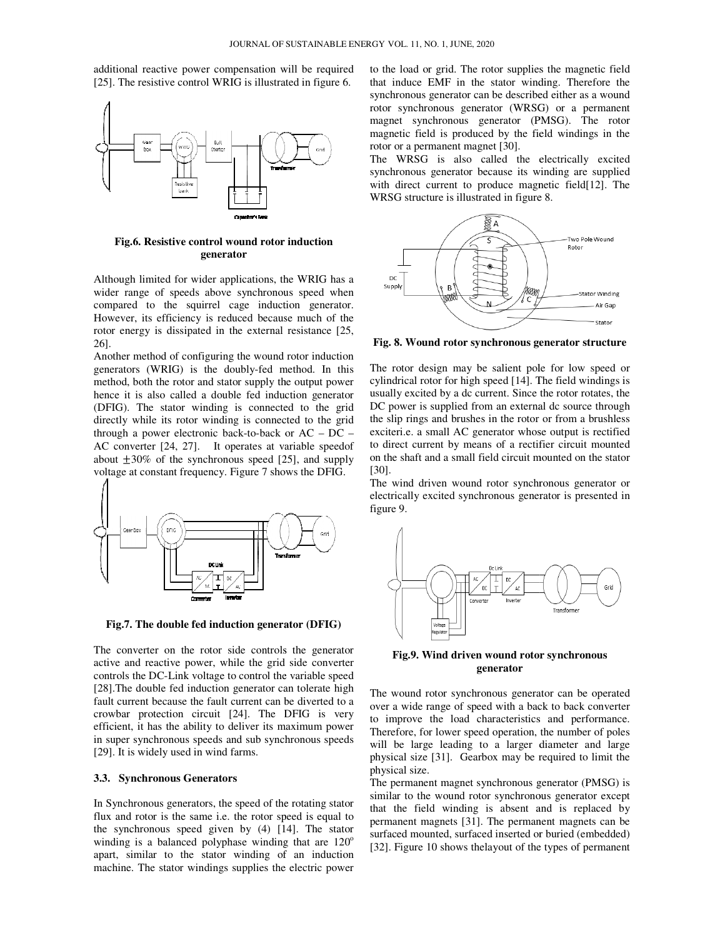additional reactive power compensation will be required additional reactive power compensation will be required [25]. The resistive control WRIG is illustrated in figure 6.



**Fig.6. Resistive control wound rotor induction Resistive generator** 

Although limited for wider applications, the WRIG has a wider range of speeds above synchronous speed when compared to the squirrel cage induction generator generator. However, its efficiency is reduced because much of the rotor energy is dissipated in the external resistance [25, 26].

Another method of configuring the wound rotor induction generators (WRIG) is the doubly-fed method. In this method, both the rotor and stator supply the output power hence it is also called a double fed induction generator (DFIG). The stator winding is connected to the grid directly while its rotor winding is connected to the grid through a power electronic back-to-back or  $AC - DC$  -AC converter [24, 27]. It operates at variable speedof about  $\pm 30\%$  of the synchronous speed [25], and supply voltage at constant frequency. Figure 7 shows the DFIG. I, both the rotor and stator supply the output power<br>it is also called a double fed induction generator<br>). The stator winding is connected to the grid<br>y while its rotor winding is connected to the grid<br>h a power electroni



**Fig.7. The double fed induction generator (DFIG)**

The converter on the rotor side controls the generator active and reactive power, while the grid side converter controls the DC-Link voltage to control the variable speed controls the DC-Link voltage to control the variable speed [28]. The double fed induction generator can tolerate high fault current because the fault current can be diverted to a crowbar protection circuit [24]. The DFIG is very efficient, it has the ability to deliver its maximum power<br>in super synchronous speeds and sub synchronous speeds in super synchronous speeds and sub synchronous speed [29]. It is widely used in wind farms.

#### **3.3. Synchronous Generators**

In Synchronous generators, the speed of the rotating stator flux and rotor is the same i.e. the rotor speed is equal to In Synchronous generators, the speed of the rotating stator flux and rotor is the same i.e. the rotor speed is equal to the synchronous speed given by (4) [14]. The stator winding is a balanced polyphase winding that are  $120^\circ$ apart, similar to the stator winding of an induction machine. The stator windings supplies the electric power

that induce EMF in the stator winding. Therefore the synchronous generator can be described either as a wound rotor synchronous generator (WRSG) or a permanent rotor synchronous generator (WRSG) or a permanent<br>magnet synchronous generator (PMSG). The rotor magnetic field is produced by the field windings in the rotor or a permanent magnet [30]. to the load or grid. The rotor supplies the magnetic field

The WRSG is also called the electrically excited synchronous generator because its winding are supplied magnetic field is produced by the field windings in the rotor or a permanent magnet [30].<br>The WRSG is also called the electrically excited<br>synchronous generator because its winding are supplied<br>with direct current to produ WRSG structure is illustrated in figure 8 8.



**Fig. 8. Wound rotor synchronous generator structure Wound** 

The rotor design may be salient pole for low speed or cylindrical rotor for high speed [14]. The field windings is cylindrical rotor for high speed [14]. The field windings is<br>usually excited by a dc current. Since the rotor rotates, the DC power is supplied from an external dc source through the slip rings and brushes in the rotor or from a brushless exciteri.e. a small AC generator whose output is rectified to direct current by means of a rectifier circuit mounted on the shaft and a small field circuit mounted on the stator [30]. lirect current by means of a rectifier circuit mounted<br>he shaft and a small field circuit mounted on the stator<br>|.<br>wind driven wound rotor synchronous generator or<br>trically excited synchronous generator is presented in

The wind driven wound rotor synchronous generator or electrically excited synchronous generator is presented figure 9.



**Fig.9. Wind driven wound rotor synchronous generator** 

The wound rotor synchronous generator can be operated over a wide range of speed with a back to back converter to improve the load characteristics and performance. Therefore, for lower speed operation, the number of poles will be large leading to a larger diameter and large physical size [31]. Gearbox may be required to limit the physical size. ck to back converter<br>ristics and performance.<br>ation, the number of poles

The permanent magnet synchronous generator (PMSG) is similar to the wound rotor synchronous generator except that the field winding is absent and is replaced by permanent magnets [31]. The permanent magnets can be surfaced mounted, surfaced inserted or buried (embedded) [32]. Figure 10 shows thelayout of the types of permanent to the wound rotor synchronous generator except<br>
E field winding is absent and is replaced by<br>
ent magnets [31]. The permanent magnets can be<br>
I mounted, surfaced inserted or buried (embedded)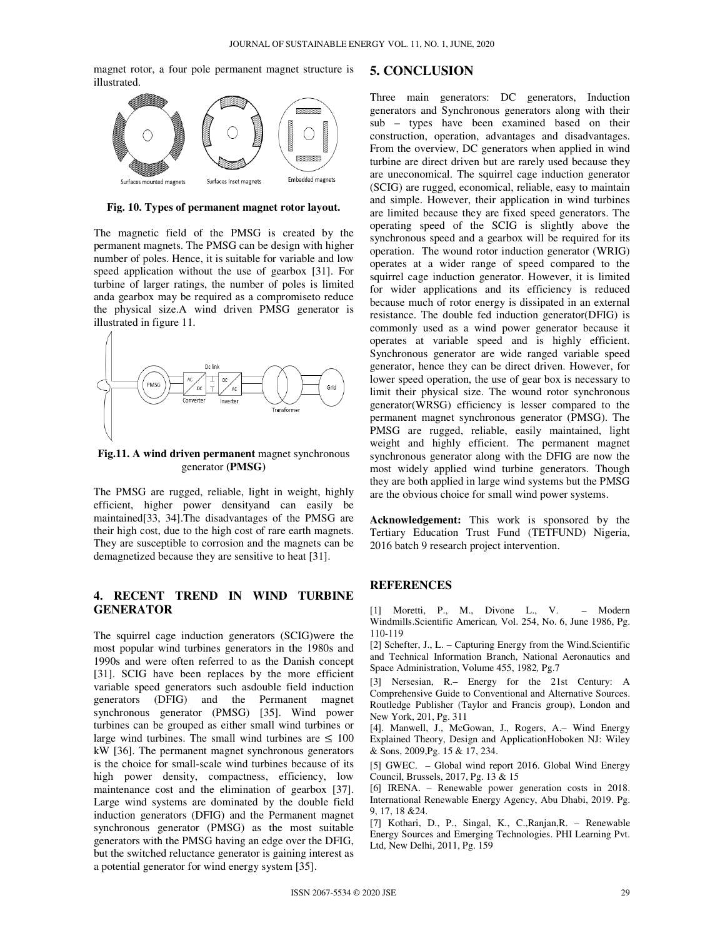magnet rotor, a four pole permanent magnet structure is illustrated.



**Fig. 10. Types of permanent magnet rotor layout.** 

The magnetic field of the PMSG is created by the permanent magnets. The PMSG can be design with higher number of poles. Hence, it is suitable for variable and low speed application without the use of gearbox [31]. For turbine of larger ratings, the number of poles is limited anda gearbox may be required as a compromiseto reduce the physical size.A wind driven PMSG generator is illustrated in figure 11.



**Fig.11. A wind driven permanent** magnet synchronous generator **(PMSG)** 

The PMSG are rugged, reliable, light in weight, highly efficient, higher power densityand can easily be maintained[33, 34].The disadvantages of the PMSG are their high cost, due to the high cost of rare earth magnets. They are susceptible to corrosion and the magnets can be demagnetized because they are sensitive to heat [31].

# **4. RECENT TREND IN WIND TURBINE GENERATOR**

The squirrel cage induction generators (SCIG)were the most popular wind turbines generators in the 1980s and 1990s and were often referred to as the Danish concept [31]. SCIG have been replaces by the more efficient variable speed generators such asdouble field induction generators (DFIG) and the Permanent magnet synchronous generator (PMSG) [35]. Wind power turbines can be grouped as either small wind turbines or large wind turbines. The small wind turbines are  $\leq 100$ kW [36]. The permanent magnet synchronous generators is the choice for small-scale wind turbines because of its high power density, compactness, efficiency, low maintenance cost and the elimination of gearbox [37]. Large wind systems are dominated by the double field induction generators (DFIG) and the Permanent magnet synchronous generator (PMSG) as the most suitable generators with the PMSG having an edge over the DFIG, but the switched reluctance generator is gaining interest as a potential generator for wind energy system [35].

## **5. CONCLUSION**

Three main generators: DC generators, Induction generators and Synchronous generators along with their sub – types have been examined based on their construction, operation, advantages and disadvantages. From the overview, DC generators when applied in wind turbine are direct driven but are rarely used because they are uneconomical. The squirrel cage induction generator (SCIG) are rugged, economical, reliable, easy to maintain and simple. However, their application in wind turbines are limited because they are fixed speed generators. The operating speed of the SCIG is slightly above the synchronous speed and a gearbox will be required for its operation. The wound rotor induction generator (WRIG) operates at a wider range of speed compared to the squirrel cage induction generator. However, it is limited for wider applications and its efficiency is reduced because much of rotor energy is dissipated in an external resistance. The double fed induction generator(DFIG) is commonly used as a wind power generator because it operates at variable speed and is highly efficient. Synchronous generator are wide ranged variable speed generator, hence they can be direct driven. However, for lower speed operation, the use of gear box is necessary to limit their physical size. The wound rotor synchronous generator(WRSG) efficiency is lesser compared to the permanent magnet synchronous generator (PMSG). The PMSG are rugged, reliable, easily maintained, light weight and highly efficient. The permanent magnet synchronous generator along with the DFIG are now the most widely applied wind turbine generators. Though they are both applied in large wind systems but the PMSG are the obvious choice for small wind power systems.

**Acknowledgement:** This work is sponsored by the Tertiary Education Trust Fund (TETFUND) Nigeria, 2016 batch 9 research project intervention.

## **REFERENCES**

[1] Moretti, P., M., Divone L., V. – Modern Windmills.Scientific American*,* Vol. 254, No. 6, June 1986, Pg. 110-119

[2] Schefter, J., L. – Capturing Energy from the Wind.Scientific and Technical Information Branch, National Aeronautics and Space Administration, Volume 455, 1982*,* Pg.7

[3] Nersesian, R.– Energy for the 21st Century: A Comprehensive Guide to Conventional and Alternative Sources. Routledge Publisher (Taylor and Francis group), London and New York, 201, Pg. 311

[4]. Manwell, J., McGowan, J., Rogers, A.– Wind Energy Explained Theory, Design and ApplicationHoboken NJ: Wiley & Sons, 2009,Pg. 15 & 17, 234.

[5] GWEC. – Global wind report 2016. Global Wind Energy Council, Brussels, 2017, Pg. 13 & 15

[6] IRENA. – Renewable power generation costs in 2018. International Renewable Energy Agency, Abu Dhabi, 2019. Pg. 9, 17, 18 &24.

[7] Kothari, D., P., Singal, K., C.,Ranjan,R. – Renewable Energy Sources and Emerging Technologies. PHI Learning Pvt. Ltd, New Delhi, 2011, Pg. 159